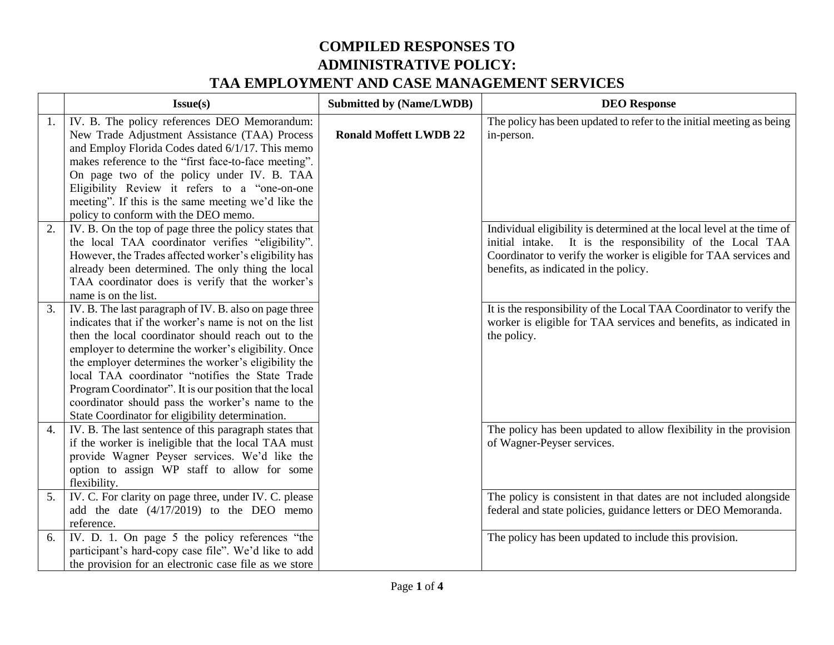|    | Issue(s)                                                                                                                                                                                                                                                                                                                                                                                                                                                                                                     | <b>Submitted by (Name/LWDB)</b> | <b>DEO</b> Response                                                                                                                                                                                                                               |
|----|--------------------------------------------------------------------------------------------------------------------------------------------------------------------------------------------------------------------------------------------------------------------------------------------------------------------------------------------------------------------------------------------------------------------------------------------------------------------------------------------------------------|---------------------------------|---------------------------------------------------------------------------------------------------------------------------------------------------------------------------------------------------------------------------------------------------|
| 1. | IV. B. The policy references DEO Memorandum:<br>New Trade Adjustment Assistance (TAA) Process<br>and Employ Florida Codes dated 6/1/17. This memo<br>makes reference to the "first face-to-face meeting".<br>On page two of the policy under IV. B. TAA<br>Eligibility Review it refers to a "one-on-one<br>meeting". If this is the same meeting we'd like the<br>policy to conform with the DEO memo.                                                                                                      | <b>Ronald Moffett LWDB 22</b>   | The policy has been updated to refer to the initial meeting as being<br>in-person.                                                                                                                                                                |
| 2. | IV. B. On the top of page three the policy states that<br>the local TAA coordinator verifies "eligibility".<br>However, the Trades affected worker's eligibility has<br>already been determined. The only thing the local<br>TAA coordinator does is verify that the worker's<br>name is on the list.                                                                                                                                                                                                        |                                 | Individual eligibility is determined at the local level at the time of<br>initial intake. It is the responsibility of the Local TAA<br>Coordinator to verify the worker is eligible for TAA services and<br>benefits, as indicated in the policy. |
| 3. | IV. B. The last paragraph of IV. B. also on page three<br>indicates that if the worker's name is not on the list<br>then the local coordinator should reach out to the<br>employer to determine the worker's eligibility. Once<br>the employer determines the worker's eligibility the<br>local TAA coordinator "notifies the State Trade<br>Program Coordinator". It is our position that the local<br>coordinator should pass the worker's name to the<br>State Coordinator for eligibility determination. |                                 | It is the responsibility of the Local TAA Coordinator to verify the<br>worker is eligible for TAA services and benefits, as indicated in<br>the policy.                                                                                           |
| 4. | IV. B. The last sentence of this paragraph states that<br>if the worker is ineligible that the local TAA must<br>provide Wagner Peyser services. We'd like the<br>option to assign WP staff to allow for some<br>flexibility.                                                                                                                                                                                                                                                                                |                                 | The policy has been updated to allow flexibility in the provision<br>of Wagner-Peyser services.                                                                                                                                                   |
| 5. | IV. C. For clarity on page three, under IV. C. please<br>add the date $(4/17/2019)$ to the DEO memo<br>reference.                                                                                                                                                                                                                                                                                                                                                                                            |                                 | The policy is consistent in that dates are not included alongside<br>federal and state policies, guidance letters or DEO Memoranda.                                                                                                               |
| 6. | IV. D. 1. On page 5 the policy references "the<br>participant's hard-copy case file". We'd like to add<br>the provision for an electronic case file as we store                                                                                                                                                                                                                                                                                                                                              |                                 | The policy has been updated to include this provision.                                                                                                                                                                                            |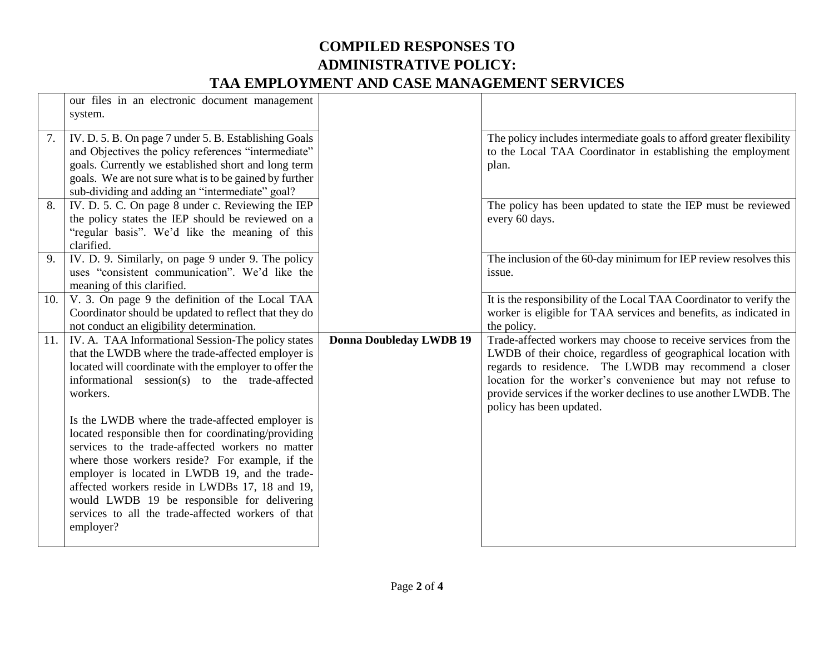|    | our files in an electronic document management<br>system.                                                                                                                                                                                                                                                                                                                                                                                                                                                                                                                                                                                                                     |                                |                                                                                                                                                                                                                                                                                                                                                          |
|----|-------------------------------------------------------------------------------------------------------------------------------------------------------------------------------------------------------------------------------------------------------------------------------------------------------------------------------------------------------------------------------------------------------------------------------------------------------------------------------------------------------------------------------------------------------------------------------------------------------------------------------------------------------------------------------|--------------------------------|----------------------------------------------------------------------------------------------------------------------------------------------------------------------------------------------------------------------------------------------------------------------------------------------------------------------------------------------------------|
| 7. | IV. D. 5. B. On page 7 under 5. B. Establishing Goals<br>and Objectives the policy references "intermediate"<br>goals. Currently we established short and long term<br>goals. We are not sure what is to be gained by further<br>sub-dividing and adding an "intermediate" goal?                                                                                                                                                                                                                                                                                                                                                                                              |                                | The policy includes intermediate goals to afford greater flexibility<br>to the Local TAA Coordinator in establishing the employment<br>plan.                                                                                                                                                                                                             |
| 8. | IV. D. 5. C. On page 8 under c. Reviewing the IEP<br>the policy states the IEP should be reviewed on a<br>"regular basis". We'd like the meaning of this<br>clarified.                                                                                                                                                                                                                                                                                                                                                                                                                                                                                                        |                                | The policy has been updated to state the IEP must be reviewed<br>every 60 days.                                                                                                                                                                                                                                                                          |
| 9. | IV. D. 9. Similarly, on page 9 under 9. The policy<br>uses "consistent communication". We'd like the<br>meaning of this clarified.                                                                                                                                                                                                                                                                                                                                                                                                                                                                                                                                            |                                | The inclusion of the 60-day minimum for IEP review resolves this<br>issue.                                                                                                                                                                                                                                                                               |
|    | 10. $\vert$ V. 3. On page 9 the definition of the Local TAA<br>Coordinator should be updated to reflect that they do<br>not conduct an eligibility determination.                                                                                                                                                                                                                                                                                                                                                                                                                                                                                                             |                                | It is the responsibility of the Local TAA Coordinator to verify the<br>worker is eligible for TAA services and benefits, as indicated in<br>the policy.                                                                                                                                                                                                  |
|    | 11. IV. A. TAA Informational Session-The policy states<br>that the LWDB where the trade-affected employer is<br>located will coordinate with the employer to offer the<br>informational session(s) to the trade-affected<br>workers.<br>Is the LWDB where the trade-affected employer is<br>located responsible then for coordinating/providing<br>services to the trade-affected workers no matter<br>where those workers reside? For example, if the<br>employer is located in LWDB 19, and the trade-<br>affected workers reside in LWDBs 17, 18 and 19,<br>would LWDB 19 be responsible for delivering<br>services to all the trade-affected workers of that<br>employer? | <b>Donna Doubleday LWDB 19</b> | Trade-affected workers may choose to receive services from the<br>LWDB of their choice, regardless of geographical location with<br>regards to residence. The LWDB may recommend a closer<br>location for the worker's convenience but may not refuse to<br>provide services if the worker declines to use another LWDB. The<br>policy has been updated. |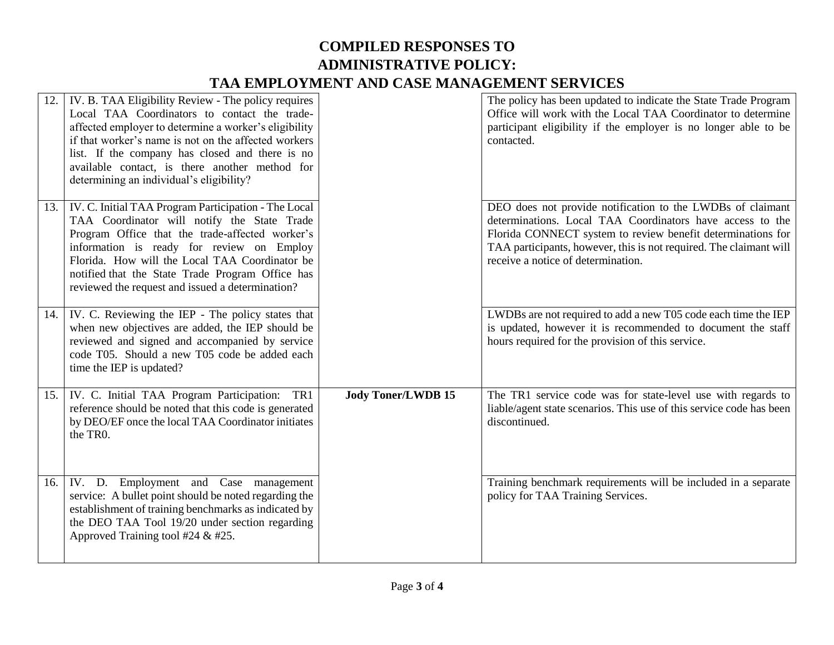|     | IV. B. TAA Eligibility Review - The policy requires<br>Local TAA Coordinators to contact the trade-<br>affected employer to determine a worker's eligibility<br>if that worker's name is not on the affected workers<br>list. If the company has closed and there is no<br>available contact, is there another method for<br>determining an individual's eligibility? |                           | The policy has been updated to indicate the State Trade Program<br>Office will work with the Local TAA Coordinator to determine<br>participant eligibility if the employer is no longer able to be<br>contacted.                                                                                   |
|-----|-----------------------------------------------------------------------------------------------------------------------------------------------------------------------------------------------------------------------------------------------------------------------------------------------------------------------------------------------------------------------|---------------------------|----------------------------------------------------------------------------------------------------------------------------------------------------------------------------------------------------------------------------------------------------------------------------------------------------|
| 13. | IV. C. Initial TAA Program Participation - The Local<br>TAA Coordinator will notify the State Trade<br>Program Office that the trade-affected worker's<br>information is ready for review on Employ<br>Florida. How will the Local TAA Coordinator be<br>notified that the State Trade Program Office has<br>reviewed the request and issued a determination?         |                           | DEO does not provide notification to the LWDBs of claimant<br>determinations. Local TAA Coordinators have access to the<br>Florida CONNECT system to review benefit determinations for<br>TAA participants, however, this is not required. The claimant will<br>receive a notice of determination. |
| 14. | IV. C. Reviewing the IEP - The policy states that<br>when new objectives are added, the IEP should be<br>reviewed and signed and accompanied by service<br>code T05. Should a new T05 code be added each<br>time the IEP is updated?                                                                                                                                  |                           | LWDBs are not required to add a new T05 code each time the IEP<br>is updated, however it is recommended to document the staff<br>hours required for the provision of this service.                                                                                                                 |
| 15. | IV. C. Initial TAA Program Participation:<br>TR1<br>reference should be noted that this code is generated<br>by DEO/EF once the local TAA Coordinator initiates<br>the TRO.                                                                                                                                                                                           | <b>Jody Toner/LWDB 15</b> | The TR1 service code was for state-level use with regards to<br>liable/agent state scenarios. This use of this service code has been<br>discontinued.                                                                                                                                              |
| 16. | IV. D. Employment and Case management<br>service: A bullet point should be noted regarding the<br>establishment of training benchmarks as indicated by<br>the DEO TAA Tool 19/20 under section regarding<br>Approved Training tool #24 $&$ #25.                                                                                                                       |                           | Training benchmark requirements will be included in a separate<br>policy for TAA Training Services.                                                                                                                                                                                                |